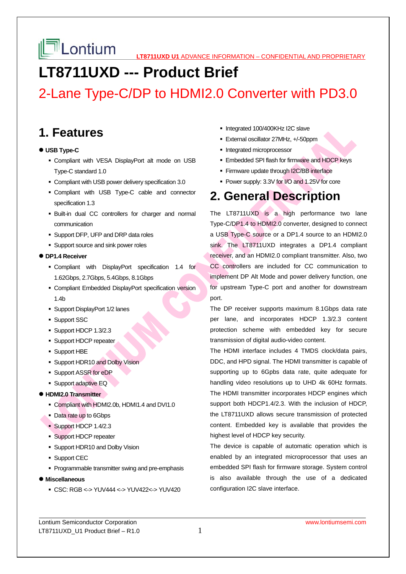# **LT8711UXD --- Product Brief**

# 2-Lane Type-C/DP to HDMI2.0 Converter with PD3.0

### **1. Features**

#### **USB Type-C**

- Compliant with VESA DisplayPort alt mode on USB Type-C standard 1.0
- Compliant with USB power delivery specification 3.0
- Compliant with USB Type-C cable and connector specification 1.3
- Built-in dual CC controllers for charger and normal communication
- **Support DFP, UFP and DRP data roles**
- **Support source and sink power roles**

#### **DP1.4 Receiver**

- Compliant with DisplayPort specification 1.4 for 1.62Gbps, 2.7Gbps, 5.4Gbps, 8.1Gbps
- Compliant Embedded DisplayPort specification version 1.4b
- Support DisplayPort 1/2 lanes
- **Support SSC**
- Support HDCP 1.3/2.3
- **Support HDCP repeater**
- Support HBE
- **Support HDR10 and Dolby Vision**
- Support ASSR for eDP
- **Support adaptive EQ**

#### **HDMI2.0 Transmitter**

- Compliant with HDMI2.0b, HDMI1.4 and DVI1.0
- Data rate up to 6Gbps
- Support HDCP 1.4/2.3
- **Support HDCP repeater**
- **Support HDR10 and Dolby Vision**
- **Support CEC**
- **Programmable transmitter swing and pre-emphasis**
- **Miscellaneous** 
	- CSC: RGB <-> YUV444 <-> YUV422<-> YUV420
- Integrated 100/400KHz I2C slave
- External oscillator 27MHz, +/-50ppm
- **Integrated microprocessor**
- **Embedded SPI flash for firmware and HDCP keys**
- **Firmware update through I2C/BB interface**
- Power supply: 3.3V for I/O and 1.25V for core

### **2. General Description**

The LT8711UXD is a high performance two lane Type-C/DP1.4 to HDMI2.0 converter, designed to connect a USB Type-C source or a DP1.4 source to an HDMI2.0 sink. The LT8711UXD integrates a DP1.4 compliant receiver, and an HDMI2.0 compliant transmitter. Also, two CC controllers are included for CC communication to implement DP Alt Mode and power delivery function, one for upstream Type-C port and another for downstream port.

The DP receiver supports maximum 8.1Gbps data rate per lane, and incorporates HDCP 1.3/2.3 content protection scheme with embedded key for secure transmission of digital audio-video content.

The HDMI interface includes 4 TMDS clock/data pairs, DDC, and HPD signal. The HDMI transmitter is capable of supporting up to 6Gpbs data rate, quite adequate for handling video resolutions up to UHD 4k 60Hz formats. The HDMI transmitter incorporates HDCP engines which support both HDCP1.4/2.3. With the inclusion of HDCP, the LT8711UXD allows secure transmission of protected content. Embedded key is available that provides the highest level of HDCP key security.

The device is capable of automatic operation which is enabled by an integrated microprocessor that uses an embedded SPI flash for firmware storage. System control is also available through the use of a dedicated configuration I2C slave interface.

Lontium Semiconductor Corporation www.lontiumsemi.com LT8711UXD\_U1 Product Brief  $-$  R1.0  $1$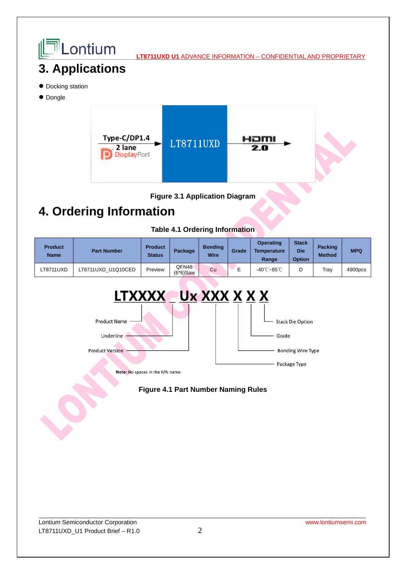



## **4. Ordering Information**

#### **Table 4.1 Ordering Information**

| <b>Product</b><br><b>Name</b> | <b>Part Number</b> | <b>Product</b><br><b>Status</b> | Package | <b>Bonding</b><br>Wire | Grade | Operating<br><b>Temperature</b><br>Range | <b>Stack</b><br><b>Die</b><br><b>Option</b> | <b>Packing</b><br><b>Method</b> | <b>MPQ</b> |
|-------------------------------|--------------------|---------------------------------|---------|------------------------|-------|------------------------------------------|---------------------------------------------|---------------------------------|------------|
| LT8711UXD                     | LT8711UXD U1Q10CED | Preview                         | QFN48·  | Cu                     |       | -40℃~85℃                                 |                                             | Tray                            | 4900pcs    |